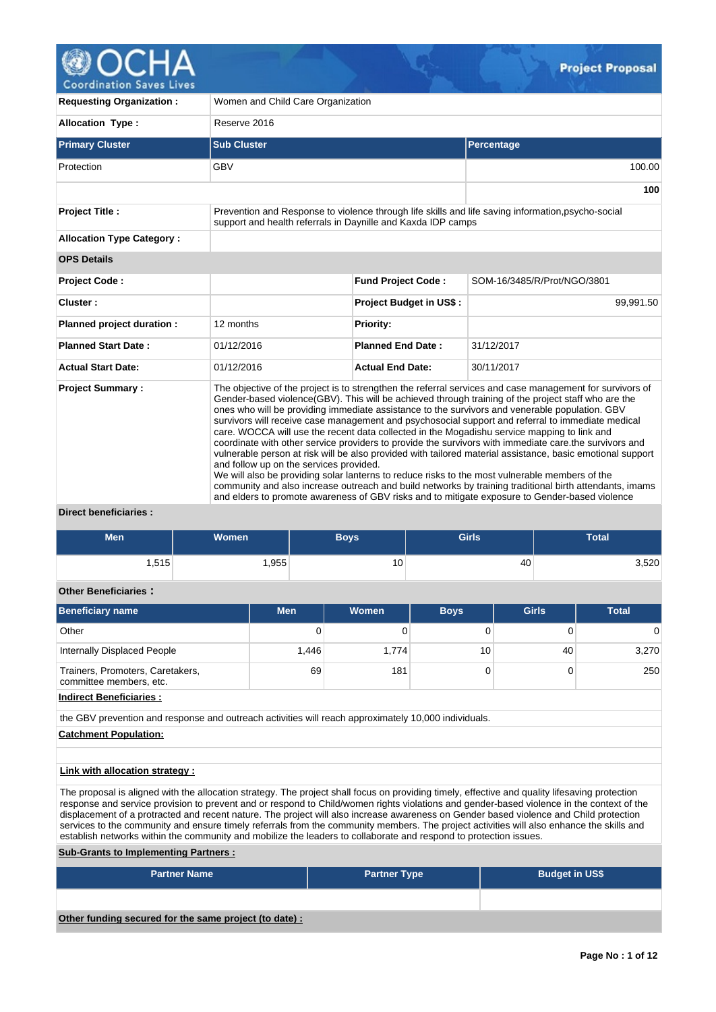

**Coordination Saves Lives** 

| <b>Requesting Organization:</b>                   | Women and Child Care Organization       |                                                                                                                                                                                               |                                                                                                                                                                                                                                                                                                                                                                                                                                                                                                                                                                                                                                                                                                                                                                                                                                                             |  |  |  |  |
|---------------------------------------------------|-----------------------------------------|-----------------------------------------------------------------------------------------------------------------------------------------------------------------------------------------------|-------------------------------------------------------------------------------------------------------------------------------------------------------------------------------------------------------------------------------------------------------------------------------------------------------------------------------------------------------------------------------------------------------------------------------------------------------------------------------------------------------------------------------------------------------------------------------------------------------------------------------------------------------------------------------------------------------------------------------------------------------------------------------------------------------------------------------------------------------------|--|--|--|--|
| <b>Allocation Type:</b>                           | Reserve 2016                            |                                                                                                                                                                                               |                                                                                                                                                                                                                                                                                                                                                                                                                                                                                                                                                                                                                                                                                                                                                                                                                                                             |  |  |  |  |
| <b>Primary Cluster</b>                            | <b>Sub Cluster</b>                      |                                                                                                                                                                                               | Percentage                                                                                                                                                                                                                                                                                                                                                                                                                                                                                                                                                                                                                                                                                                                                                                                                                                                  |  |  |  |  |
| Protection                                        | <b>GBV</b>                              |                                                                                                                                                                                               | 100.00                                                                                                                                                                                                                                                                                                                                                                                                                                                                                                                                                                                                                                                                                                                                                                                                                                                      |  |  |  |  |
|                                                   |                                         |                                                                                                                                                                                               | 100                                                                                                                                                                                                                                                                                                                                                                                                                                                                                                                                                                                                                                                                                                                                                                                                                                                         |  |  |  |  |
| <b>Project Title:</b>                             |                                         | support and health referrals in Daynille and Kaxda IDP camps                                                                                                                                  | Prevention and Response to violence through life skills and life saving information, psycho-social                                                                                                                                                                                                                                                                                                                                                                                                                                                                                                                                                                                                                                                                                                                                                          |  |  |  |  |
| <b>Allocation Type Category:</b>                  |                                         |                                                                                                                                                                                               |                                                                                                                                                                                                                                                                                                                                                                                                                                                                                                                                                                                                                                                                                                                                                                                                                                                             |  |  |  |  |
| <b>OPS Details</b>                                |                                         |                                                                                                                                                                                               |                                                                                                                                                                                                                                                                                                                                                                                                                                                                                                                                                                                                                                                                                                                                                                                                                                                             |  |  |  |  |
| Project Code:                                     |                                         | <b>Fund Project Code:</b>                                                                                                                                                                     | SOM-16/3485/R/Prot/NGO/3801                                                                                                                                                                                                                                                                                                                                                                                                                                                                                                                                                                                                                                                                                                                                                                                                                                 |  |  |  |  |
| Cluster:                                          |                                         | Project Budget in US\$:                                                                                                                                                                       | 99,991.50                                                                                                                                                                                                                                                                                                                                                                                                                                                                                                                                                                                                                                                                                                                                                                                                                                                   |  |  |  |  |
| Planned project duration :                        | 12 months                               | <b>Priority:</b>                                                                                                                                                                              |                                                                                                                                                                                                                                                                                                                                                                                                                                                                                                                                                                                                                                                                                                                                                                                                                                                             |  |  |  |  |
| <b>Planned Start Date:</b>                        | 01/12/2016                              | <b>Planned End Date:</b>                                                                                                                                                                      | 31/12/2017                                                                                                                                                                                                                                                                                                                                                                                                                                                                                                                                                                                                                                                                                                                                                                                                                                                  |  |  |  |  |
| <b>Actual Start Date:</b>                         | 01/12/2016                              | <b>Actual End Date:</b>                                                                                                                                                                       | 30/11/2017                                                                                                                                                                                                                                                                                                                                                                                                                                                                                                                                                                                                                                                                                                                                                                                                                                                  |  |  |  |  |
| <b>Project Summary:</b><br>Direct heneficiaries . | and follow up on the services provided. | care. WOCCA will use the recent data collected in the Mogadishu service mapping to link and<br>We will also be providing solar lanterns to reduce risks to the most vulnerable members of the | The objective of the project is to strengthen the referral services and case management for survivors of<br>Gender-based violence(GBV). This will be achieved through training of the project staff who are the<br>ones who will be providing immediate assistance to the survivors and venerable population. GBV<br>survivors will receive case management and psychosocial support and referral to immediate medical<br>coordinate with other service providers to provide the survivors with immediate care.the survivors and<br>vulnerable person at risk will be also provided with tailored material assistance, basic emotional support<br>community and also increase outreach and build networks by training traditional birth attendants, imams<br>and elders to promote awareness of GBV risks and to mitigate exposure to Gender-based violence |  |  |  |  |

**Direct beneficiaries :**

| <b>Men</b> | <b>Women</b> | Boys' | <b>Girls</b> | <b>Total</b> |
|------------|--------------|-------|--------------|--------------|
| .515       | ,955         | 10    | 40           | 3,520        |

# **Other Beneficiaries :**

| <b>Beneficiary name</b>                                     | <b>Men</b> | <b>Women</b> | <b>Boys</b> | <b>Girls</b> | <b>Total</b> |
|-------------------------------------------------------------|------------|--------------|-------------|--------------|--------------|
| Other                                                       | 0          |              |             |              | 0            |
| Internally Displaced People                                 | 1.446      | 1.774        | 10          | 40           | 3,270        |
| Trainers, Promoters, Caretakers,<br>committee members, etc. | 69         | 181          |             |              | 250          |
| Indiract Ranaficiarios                                      |            |              |             |              |              |

**Indirect Beneficiaries :**

the GBV prevention and response and outreach activities will reach approximately 10,000 individuals.

**Catchment Population:**

## **Link with allocation strategy :**

The proposal is aligned with the allocation strategy. The project shall focus on providing timely, effective and quality lifesaving protection response and service provision to prevent and or respond to Child/women rights violations and gender-based violence in the context of the displacement of a protracted and recent nature. The project will also increase awareness on Gender based violence and Child protection services to the community and ensure timely referrals from the community members. The project activities will also enhance the skills and establish networks within the community and mobilize the leaders to collaborate and respond to protection issues.

# **Sub-Grants to Implementing Partners :**

| <b>Partner Name</b>                                   | <b>Partner Type</b> | <b>Budget in US\$</b> |
|-------------------------------------------------------|---------------------|-----------------------|
|                                                       |                     |                       |
| Other funding secured for the same project (to date): |                     |                       |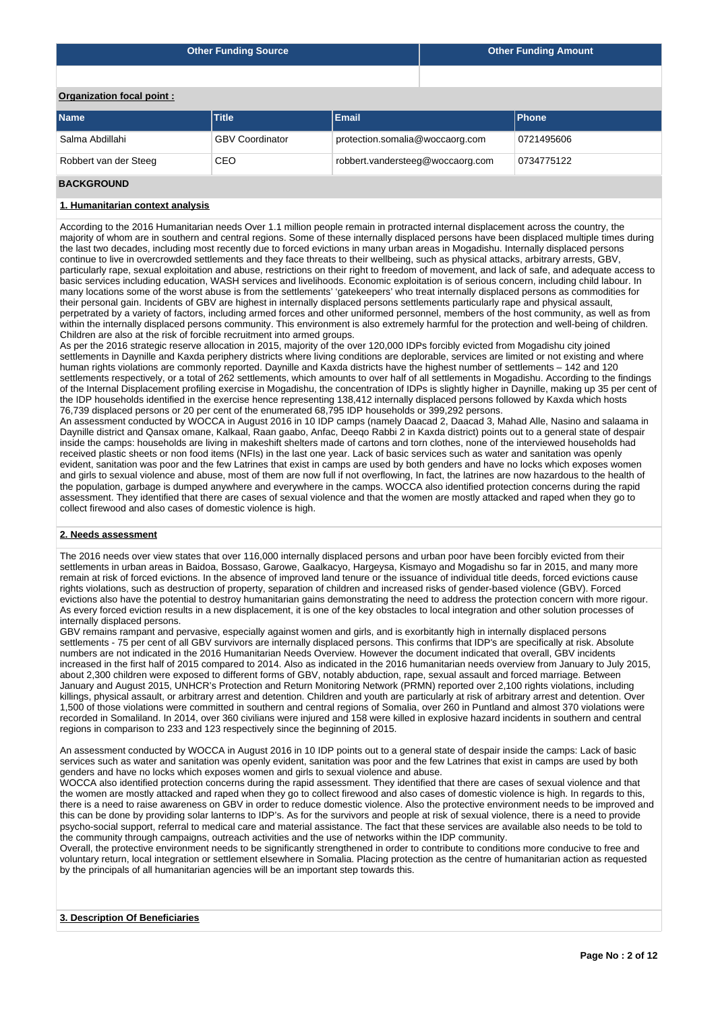| <b>Other Funding Source</b> | <b>Other Funding Amount</b> |
|-----------------------------|-----------------------------|
|                             |                             |

**Organization focal point :**

| <b>Name</b>           | <b>Title</b>           | <b>Email</b>                     | <b>Phone</b> |
|-----------------------|------------------------|----------------------------------|--------------|
| Salma Abdillahi       | <b>GBV Coordinator</b> | protection.somalia@woccaorg.com  | 0721495606   |
| Robbert van der Steeg | CEO                    | robbert.vandersteeg@woccaorg.com | 0734775122   |
| _ . _ _ _             |                        |                                  |              |

### **BACKGROUND**

## **1. Humanitarian context analysis**

According to the 2016 Humanitarian needs Over 1.1 million people remain in protracted internal displacement across the country, the majority of whom are in southern and central regions. Some of these internally displaced persons have been displaced multiple times during the last two decades, including most recently due to forced evictions in many urban areas in Mogadishu. Internally displaced persons continue to live in overcrowded settlements and they face threats to their wellbeing, such as physical attacks, arbitrary arrests, GBV, particularly rape, sexual exploitation and abuse, restrictions on their right to freedom of movement, and lack of safe, and adequate access to basic services including education, WASH services and livelihoods. Economic exploitation is of serious concern, including child labour. In many locations some of the worst abuse is from the settlements' 'gatekeepers' who treat internally displaced persons as commodities for their personal gain. Incidents of GBV are highest in internally displaced persons settlements particularly rape and physical assault, perpetrated by a variety of factors, including armed forces and other uniformed personnel, members of the host community, as well as from within the internally displaced persons community. This environment is also extremely harmful for the protection and well-being of children. Children are also at the risk of forcible recruitment into armed groups.

As per the 2016 strategic reserve allocation in 2015, majority of the over 120,000 IDPs forcibly evicted from Mogadishu city joined settlements in Daynille and Kaxda periphery districts where living conditions are deplorable, services are limited or not existing and where human rights violations are commonly reported. Daynille and Kaxda districts have the highest number of settlements – 142 and 120 settlements respectively, or a total of 262 settlements, which amounts to over half of all settlements in Mogadishu. According to the findings of the Internal Displacement profiling exercise in Mogadishu, the concentration of IDPs is slightly higher in Daynille, making up 35 per cent of the IDP households identified in the exercise hence representing 138,412 internally displaced persons followed by Kaxda which hosts 76,739 displaced persons or 20 per cent of the enumerated 68,795 IDP households or 399,292 persons.

An assessment conducted by WOCCA in August 2016 in 10 IDP camps (namely Daacad 2, Daacad 3, Mahad Alle, Nasino and salaama in Daynille district and Qansax omane, Kalkaal, Raan gaabo, Anfac, Deeqo Rabbi 2 in Kaxda district) points out to a general state of despair inside the camps: households are living in makeshift shelters made of cartons and torn clothes, none of the interviewed households had received plastic sheets or non food items (NFIs) in the last one year. Lack of basic services such as water and sanitation was openly evident, sanitation was poor and the few Latrines that exist in camps are used by both genders and have no locks which exposes women and girls to sexual violence and abuse, most of them are now full if not overflowing, In fact, the latrines are now hazardous to the health of the population, garbage is dumped anywhere and everywhere in the camps. WOCCA also identified protection concerns during the rapid assessment. They identified that there are cases of sexual violence and that the women are mostly attacked and raped when they go to collect firewood and also cases of domestic violence is high.

### **2. Needs assessment**

The 2016 needs over view states that over 116,000 internally displaced persons and urban poor have been forcibly evicted from their settlements in urban areas in Baidoa, Bossaso, Garowe, Gaalkacyo, Hargeysa, Kismayo and Mogadishu so far in 2015, and many more remain at risk of forced evictions. In the absence of improved land tenure or the issuance of individual title deeds, forced evictions cause rights violations, such as destruction of property, separation of children and increased risks of gender-based violence (GBV). Forced evictions also have the potential to destroy humanitarian gains demonstrating the need to address the protection concern with more rigour. As every forced eviction results in a new displacement, it is one of the key obstacles to local integration and other solution processes of internally displaced persons.

GBV remains rampant and pervasive, especially against women and girls, and is exorbitantly high in internally displaced persons settlements - 75 per cent of all GBV survivors are internally displaced persons. This confirms that IDP's are specifically at risk. Absolute numbers are not indicated in the 2016 Humanitarian Needs Overview. However the document indicated that overall, GBV incidents increased in the first half of 2015 compared to 2014. Also as indicated in the 2016 humanitarian needs overview from January to July 2015, about 2,300 children were exposed to different forms of GBV, notably abduction, rape, sexual assault and forced marriage. Between January and August 2015, UNHCR's Protection and Return Monitoring Network (PRMN) reported over 2,100 rights violations, including killings, physical assault, or arbitrary arrest and detention. Children and youth are particularly at risk of arbitrary arrest and detention. Over 1,500 of those violations were committed in southern and central regions of Somalia, over 260 in Puntland and almost 370 violations were recorded in Somaliland. In 2014, over 360 civilians were injured and 158 were killed in explosive hazard incidents in southern and central regions in comparison to 233 and 123 respectively since the beginning of 2015.

An assessment conducted by WOCCA in August 2016 in 10 IDP points out to a general state of despair inside the camps: Lack of basic services such as water and sanitation was openly evident, sanitation was poor and the few Latrines that exist in camps are used by both genders and have no locks which exposes women and girls to sexual violence and abuse.

WOCCA also identified protection concerns during the rapid assessment. They identified that there are cases of sexual violence and that the women are mostly attacked and raped when they go to collect firewood and also cases of domestic violence is high. In regards to this, there is a need to raise awareness on GBV in order to reduce domestic violence. Also the protective environment needs to be improved and this can be done by providing solar lanterns to IDP's. As for the survivors and people at risk of sexual violence, there is a need to provide psycho-social support, referral to medical care and material assistance. The fact that these services are available also needs to be told to the community through campaigns, outreach activities and the use of networks within the IDP community.

Overall, the protective environment needs to be significantly strengthened in order to contribute to conditions more conducive to free and voluntary return, local integration or settlement elsewhere in Somalia. Placing protection as the centre of humanitarian action as requested by the principals of all humanitarian agencies will be an important step towards this.

## **3. Description Of Beneficiaries**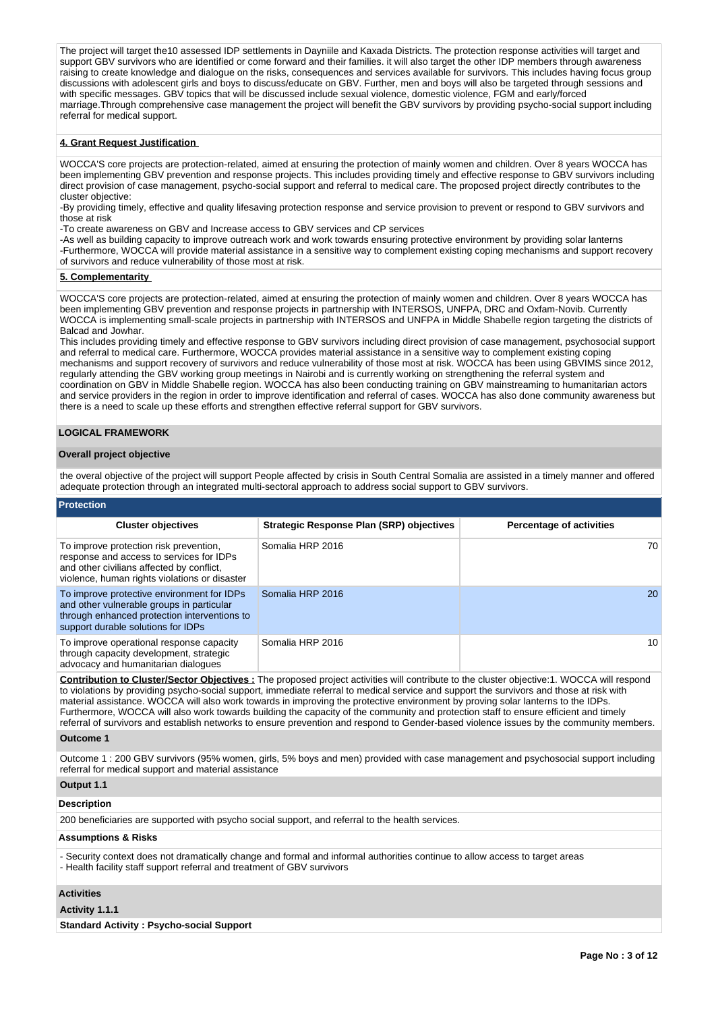The project will target the10 assessed IDP settlements in Dayniile and Kaxada Districts. The protection response activities will target and support GBV survivors who are identified or come forward and their families. it will also target the other IDP members through awareness raising to create knowledge and dialogue on the risks, consequences and services available for survivors. This includes having focus group discussions with adolescent girls and boys to discuss/educate on GBV. Further, men and boys will also be targeted through sessions and with specific messages. GBV topics that will be discussed include sexual violence, domestic violence, FGM and early/forced marriage.Through comprehensive case management the project will benefit the GBV survivors by providing psycho-social support including referral for medical support.

## **4. Grant Request Justification**

WOCCA'S core projects are protection-related, aimed at ensuring the protection of mainly women and children. Over 8 years WOCCA has been implementing GBV prevention and response projects. This includes providing timely and effective response to GBV survivors including direct provision of case management, psycho-social support and referral to medical care. The proposed project directly contributes to the cluster objective:

-By providing timely, effective and quality lifesaving protection response and service provision to prevent or respond to GBV survivors and those at risk

-To create awareness on GBV and Increase access to GBV services and CP services

-As well as building capacity to improve outreach work and work towards ensuring protective environment by providing solar lanterns -Furthermore, WOCCA will provide material assistance in a sensitive way to complement existing coping mechanisms and support recovery of survivors and reduce vulnerability of those most at risk.

### **5. Complementarity**

WOCCA'S core projects are protection-related, aimed at ensuring the protection of mainly women and children. Over 8 years WOCCA has been implementing GBV prevention and response projects in partnership with INTERSOS, UNFPA, DRC and Oxfam-Novib. Currently WOCCA is implementing small-scale projects in partnership with INTERSOS and UNFPA in Middle Shabelle region targeting the districts of Balcad and Jowhar.

This includes providing timely and effective response to GBV survivors including direct provision of case management, psychosocial support and referral to medical care. Furthermore, WOCCA provides material assistance in a sensitive way to complement existing coping mechanisms and support recovery of survivors and reduce vulnerability of those most at risk. WOCCA has been using GBVIMS since 2012, regularly attending the GBV working group meetings in Nairobi and is currently working on strengthening the referral system and coordination on GBV in Middle Shabelle region. WOCCA has also been conducting training on GBV mainstreaming to humanitarian actors and service providers in the region in order to improve identification and referral of cases. WOCCA has also done community awareness but there is a need to scale up these efforts and strengthen effective referral support for GBV survivors.

### **LOGICAL FRAMEWORK**

### **Overall project objective**

the overal objective of the project will support People affected by crisis in South Central Somalia are assisted in a timely manner and offered adequate protection through an integrated multi-sectoral approach to address social support to GBV survivors.

# **Protection**

| <b>Cluster objectives</b>                                                                                                                                                        | Strategic Response Plan (SRP) objectives | <b>Percentage of activities</b> |
|----------------------------------------------------------------------------------------------------------------------------------------------------------------------------------|------------------------------------------|---------------------------------|
| To improve protection risk prevention,<br>response and access to services for IDPs<br>and other civilians affected by conflict,<br>violence, human rights violations or disaster | Somalia HRP 2016                         | 70.                             |
| To improve protective environment for IDPs<br>and other vulnerable groups in particular<br>through enhanced protection interventions to<br>support durable solutions for IDPs    | Somalia HRP 2016                         | 20                              |
| To improve operational response capacity<br>through capacity development, strategic<br>advocacy and humanitarian dialogues                                                       | Somalia HRP 2016                         | 10                              |

**Contribution to Cluster/Sector Objectives :** The proposed project activities will contribute to the cluster objective:1. WOCCA will respond to violations by providing psycho-social support, immediate referral to medical service and support the survivors and those at risk with material assistance. WOCCA will also work towards in improving the protective environment by proving solar lanterns to the IDPs. Furthermore, WOCCA will also work towards building the capacity of the community and protection staff to ensure efficient and timely referral of survivors and establish networks to ensure prevention and respond to Gender-based violence issues by the community members.

### **Outcome 1**

Outcome 1 : 200 GBV survivors (95% women, girls, 5% boys and men) provided with case management and psychosocial support including referral for medical support and material assistance

## **Output 1.1**

### **Description**

200 beneficiaries are supported with psycho social support, and referral to the health services.

#### **Assumptions & Risks**

- Security context does not dramatically change and formal and informal authorities continue to allow access to target areas - Health facility staff support referral and treatment of GBV survivors

### **Activities**

### **Activity 1.1.1**

**Standard Activity : Psycho-social Support**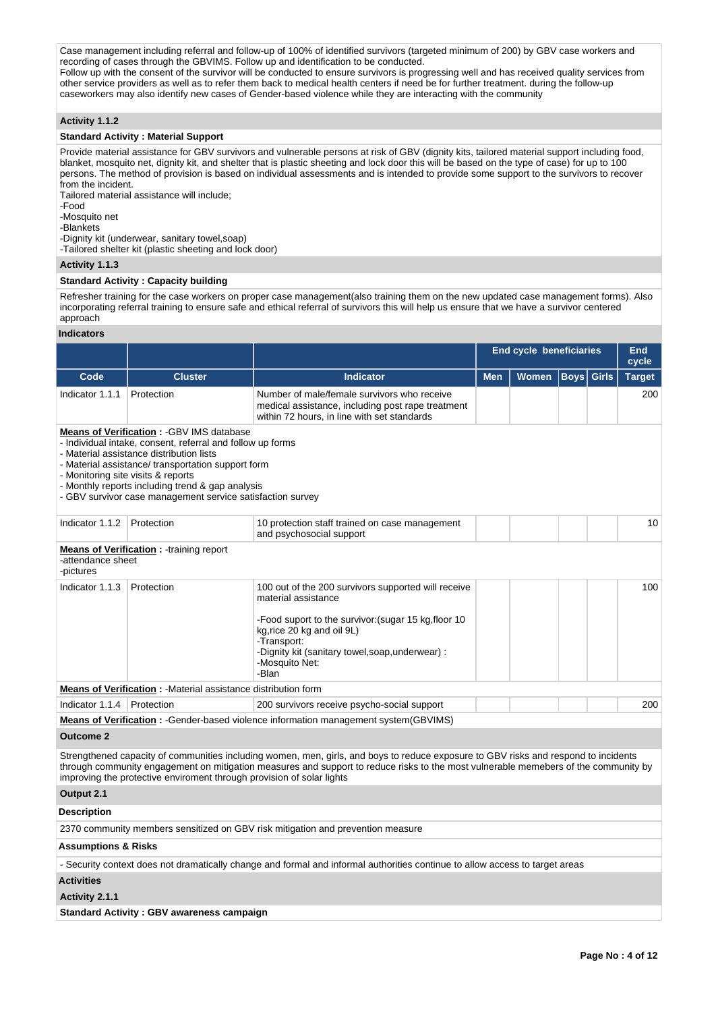Case management including referral and follow-up of 100% of identified survivors (targeted minimum of 200) by GBV case workers and recording of cases through the GBVIMS. Follow up and identification to be conducted. Follow up with the consent of the survivor will be conducted to ensure survivors is progressing well and has received quality services from

other service providers as well as to refer them back to medical health centers if need be for further treatment. during the follow-up caseworkers may also identify new cases of Gender-based violence while they are interacting with the community

## **Activity 1.1.2**

### **Standard Activity : Material Support**

Provide material assistance for GBV survivors and vulnerable persons at risk of GBV (dignity kits, tailored material support including food, blanket, mosquito net, dignity kit, and shelter that is plastic sheeting and lock door this will be based on the type of case) for up to 100 persons. The method of provision is based on individual assessments and is intended to provide some support to the survivors to recover from the incident.

Tailored material assistance will include;

-Food

-Mosquito net

-Blankets

-Dignity kit (underwear, sanitary towel,soap)

-Tailored shelter kit (plastic sheeting and lock door)

### **Activity 1.1.3**

### **Standard Activity : Capacity building**

Refresher training for the case workers on proper case management(also training them on the new updated case management forms). Also incorporating referral training to ensure safe and ethical referral of survivors this will help us ensure that we have a survivor centered approach

### **Indicators**

|                                                                                                                                                                                                                                                                                                                                                                          |                                                                        |                                                                                                                                                                                                                                                                            | <b>End cycle beneficiaries</b> | End<br>cycle |             |              |               |  |  |  |
|--------------------------------------------------------------------------------------------------------------------------------------------------------------------------------------------------------------------------------------------------------------------------------------------------------------------------------------------------------------------------|------------------------------------------------------------------------|----------------------------------------------------------------------------------------------------------------------------------------------------------------------------------------------------------------------------------------------------------------------------|--------------------------------|--------------|-------------|--------------|---------------|--|--|--|
| Code                                                                                                                                                                                                                                                                                                                                                                     | <b>Cluster</b>                                                         | <b>Indicator</b>                                                                                                                                                                                                                                                           | <b>Men</b>                     | Women        | <b>Boys</b> | <b>Girls</b> | <b>Target</b> |  |  |  |
| Indicator 1.1.1                                                                                                                                                                                                                                                                                                                                                          | Protection                                                             | Number of male/female survivors who receive<br>medical assistance, including post rape treatment<br>within 72 hours, in line with set standards                                                                                                                            |                                |              |             |              | 200           |  |  |  |
| <b>Means of Verification: - GBV IMS database</b><br>- Individual intake, consent, referral and follow up forms<br>- Material assistance distribution lists<br>- Material assistance/ transportation support form<br>- Monitoring site visits & reports<br>- Monthly reports including trend & gap analysis<br>- GBV survivor case management service satisfaction survey |                                                                        |                                                                                                                                                                                                                                                                            |                                |              |             |              |               |  |  |  |
| Indicator 1.1.2                                                                                                                                                                                                                                                                                                                                                          | Protection                                                             | 10 protection staff trained on case management<br>and psychosocial support                                                                                                                                                                                                 |                                |              |             |              | 10            |  |  |  |
| -attendance sheet<br>-pictures                                                                                                                                                                                                                                                                                                                                           | <b>Means of Verification:</b> - training report                        |                                                                                                                                                                                                                                                                            |                                |              |             |              |               |  |  |  |
| Indicator 1.1.3                                                                                                                                                                                                                                                                                                                                                          | Protection                                                             | 100 out of the 200 survivors supported will receive<br>material assistance<br>-Food suport to the survivor: (sugar 15 kg, floor 10<br>kg, rice 20 kg and oil 9L)<br>-Transport:<br>-Dignity kit (sanitary towel, soap, underwear) :<br>-Mosquito Net:<br>-Blan             |                                |              |             |              | 100           |  |  |  |
|                                                                                                                                                                                                                                                                                                                                                                          | <b>Means of Verification : - Material assistance distribution form</b> |                                                                                                                                                                                                                                                                            |                                |              |             |              |               |  |  |  |
| Indicator 1.1.4                                                                                                                                                                                                                                                                                                                                                          | Protection                                                             | 200 survivors receive psycho-social support                                                                                                                                                                                                                                |                                |              |             |              | 200           |  |  |  |
|                                                                                                                                                                                                                                                                                                                                                                          |                                                                        | Means of Verification: - Gender-based violence information management system(GBVIMS)                                                                                                                                                                                       |                                |              |             |              |               |  |  |  |
| <b>Outcome 2</b>                                                                                                                                                                                                                                                                                                                                                         |                                                                        |                                                                                                                                                                                                                                                                            |                                |              |             |              |               |  |  |  |
|                                                                                                                                                                                                                                                                                                                                                                          | improving the protective enviroment through provision of solar lights  | Strengthened capacity of communities including women, men, girls, and boys to reduce exposure to GBV risks and respond to incidents<br>through community engagement on mitigation measures and support to reduce risks to the most vulnerable memebers of the community by |                                |              |             |              |               |  |  |  |
| Output 2.1                                                                                                                                                                                                                                                                                                                                                               |                                                                        |                                                                                                                                                                                                                                                                            |                                |              |             |              |               |  |  |  |
| <b>Description</b>                                                                                                                                                                                                                                                                                                                                                       |                                                                        |                                                                                                                                                                                                                                                                            |                                |              |             |              |               |  |  |  |
|                                                                                                                                                                                                                                                                                                                                                                          |                                                                        | 2370 community members sensitized on GBV risk mitigation and prevention measure                                                                                                                                                                                            |                                |              |             |              |               |  |  |  |
| <b>Assumptions &amp; Risks</b>                                                                                                                                                                                                                                                                                                                                           |                                                                        |                                                                                                                                                                                                                                                                            |                                |              |             |              |               |  |  |  |
|                                                                                                                                                                                                                                                                                                                                                                          |                                                                        | - Security context does not dramatically change and formal and informal authorities continue to allow access to target areas                                                                                                                                               |                                |              |             |              |               |  |  |  |
| <b>Activities</b>                                                                                                                                                                                                                                                                                                                                                        |                                                                        |                                                                                                                                                                                                                                                                            |                                |              |             |              |               |  |  |  |
| Activity 2.1.1                                                                                                                                                                                                                                                                                                                                                           |                                                                        |                                                                                                                                                                                                                                                                            |                                |              |             |              |               |  |  |  |

**Standard Activity : GBV awareness campaign**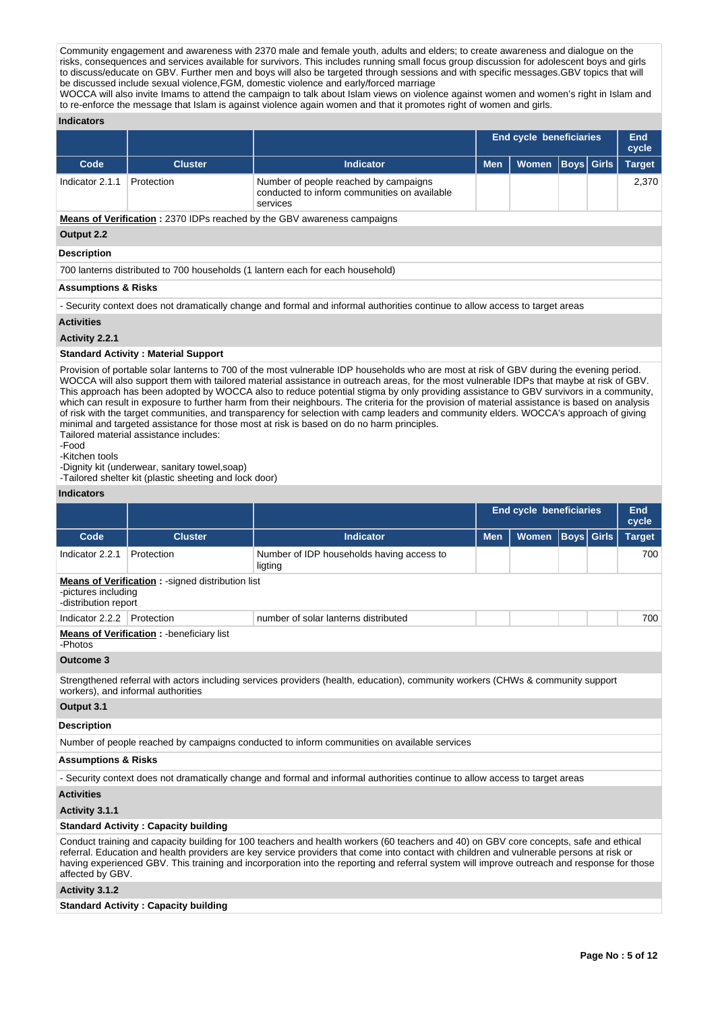Community engagement and awareness with 2370 male and female youth, adults and elders; to create awareness and dialogue on the risks, consequences and services available for survivors. This includes running small focus group discussion for adolescent boys and girls to discuss/educate on GBV. Further men and boys will also be targeted through sessions and with specific messages.GBV topics that will be discussed include sexual violence,FGM, domestic violence and early/forced marriage

WOCCA will also invite Imams to attend the campaign to talk about Islam views on violence against women and women's right in Islam and to re-enforce the message that Islam is against violence again women and that it promotes right of women and girls.

### **Indicators**

|                    |                |                                                                                                   | <b>End cycle beneficiaries</b> |              |                   |  | <b>End</b><br>cycle |
|--------------------|----------------|---------------------------------------------------------------------------------------------------|--------------------------------|--------------|-------------------|--|---------------------|
| Code               | <b>Cluster</b> | <b>Indicator</b>                                                                                  | <b>Men</b>                     | <b>Women</b> | <b>Boys Girls</b> |  | <b>Target</b>       |
| Indicator 2.1.1    | Protection     | Number of people reached by campaigns<br>conducted to inform communities on available<br>services |                                |              |                   |  | 2,370               |
|                    |                | <b>Means of Verification: 2370 IDPs reached by the GBV awareness campaigns</b>                    |                                |              |                   |  |                     |
| Output 2.2         |                |                                                                                                   |                                |              |                   |  |                     |
| <b>Description</b> |                |                                                                                                   |                                |              |                   |  |                     |

700 lanterns distributed to 700 households (1 lantern each for each household)

## **Assumptions & Risks**

- Security context does not dramatically change and formal and informal authorities continue to allow access to target areas

### **Activities**

**Activity 2.2.1** 

### **Standard Activity : Material Support**

Provision of portable solar lanterns to 700 of the most vulnerable IDP households who are most at risk of GBV during the evening period. WOCCA will also support them with tailored material assistance in outreach areas, for the most vulnerable IDPs that maybe at risk of GBV. This approach has been adopted by WOCCA also to reduce potential stigma by only providing assistance to GBV survivors in a community, which can result in exposure to further harm from their neighbours. The criteria for the provision of material assistance is based on analysis of risk with the target communities, and transparency for selection with camp leaders and community elders. WOCCA's approach of giving minimal and targeted assistance for those most at risk is based on do no harm principles.

Tailored material assistance includes: -Food

-Kitchen tools

-Dignity kit (underwear, sanitary towel,soap) -Tailored shelter kit (plastic sheeting and lock door)

### **Indicators**

|                                             |                                                         |                                                                                                                                                                                                                                                                                                                                                                                                                                    | <b>End cycle beneficiaries</b> | End<br>cycle |                   |  |               |  |  |  |  |  |  |  |     |
|---------------------------------------------|---------------------------------------------------------|------------------------------------------------------------------------------------------------------------------------------------------------------------------------------------------------------------------------------------------------------------------------------------------------------------------------------------------------------------------------------------------------------------------------------------|--------------------------------|--------------|-------------------|--|---------------|--|--|--|--|--|--|--|-----|
| Code                                        | <b>Cluster</b>                                          | <b>Indicator</b>                                                                                                                                                                                                                                                                                                                                                                                                                   | <b>Men</b>                     | <b>Women</b> | <b>Boys</b> Girls |  | <b>Target</b> |  |  |  |  |  |  |  |     |
| Indicator 2.2.1                             | Protection                                              | Number of IDP households having access to<br>ligting                                                                                                                                                                                                                                                                                                                                                                               |                                |              |                   |  |               |  |  |  |  |  |  |  | 700 |
| -pictures including<br>-distribution report | <b>Means of Verification: -signed distribution list</b> |                                                                                                                                                                                                                                                                                                                                                                                                                                    |                                |              |                   |  |               |  |  |  |  |  |  |  |     |
| Indicator 2.2.2                             | Protection                                              | number of solar lanterns distributed                                                                                                                                                                                                                                                                                                                                                                                               |                                |              |                   |  | 700           |  |  |  |  |  |  |  |     |
| -Photos                                     | <b>Means of Verification:</b> - beneficiary list        |                                                                                                                                                                                                                                                                                                                                                                                                                                    |                                |              |                   |  |               |  |  |  |  |  |  |  |     |
| Outcome 3                                   |                                                         |                                                                                                                                                                                                                                                                                                                                                                                                                                    |                                |              |                   |  |               |  |  |  |  |  |  |  |     |
| workers), and informal authorities          |                                                         | Strengthened referral with actors including services providers (health, education), community workers (CHWs & community support                                                                                                                                                                                                                                                                                                    |                                |              |                   |  |               |  |  |  |  |  |  |  |     |
| Output 3.1                                  |                                                         |                                                                                                                                                                                                                                                                                                                                                                                                                                    |                                |              |                   |  |               |  |  |  |  |  |  |  |     |
| <b>Description</b>                          |                                                         |                                                                                                                                                                                                                                                                                                                                                                                                                                    |                                |              |                   |  |               |  |  |  |  |  |  |  |     |
|                                             |                                                         | Number of people reached by campaigns conducted to inform communities on available services                                                                                                                                                                                                                                                                                                                                        |                                |              |                   |  |               |  |  |  |  |  |  |  |     |
| <b>Assumptions &amp; Risks</b>              |                                                         |                                                                                                                                                                                                                                                                                                                                                                                                                                    |                                |              |                   |  |               |  |  |  |  |  |  |  |     |
|                                             |                                                         | - Security context does not dramatically change and formal and informal authorities continue to allow access to target areas                                                                                                                                                                                                                                                                                                       |                                |              |                   |  |               |  |  |  |  |  |  |  |     |
| <b>Activities</b>                           |                                                         |                                                                                                                                                                                                                                                                                                                                                                                                                                    |                                |              |                   |  |               |  |  |  |  |  |  |  |     |
| Activity 3.1.1                              |                                                         |                                                                                                                                                                                                                                                                                                                                                                                                                                    |                                |              |                   |  |               |  |  |  |  |  |  |  |     |
|                                             | <b>Standard Activity: Capacity building</b>             |                                                                                                                                                                                                                                                                                                                                                                                                                                    |                                |              |                   |  |               |  |  |  |  |  |  |  |     |
| affected by GBV.                            |                                                         | Conduct training and capacity building for 100 teachers and health workers (60 teachers and 40) on GBV core concepts, safe and ethical<br>referral. Education and health providers are key service providers that come into contact with children and vulnerable persons at risk or<br>having experienced GBV. This training and incorporation into the reporting and referral system will improve outreach and response for those |                                |              |                   |  |               |  |  |  |  |  |  |  |     |
| Activity 3.1.2                              |                                                         |                                                                                                                                                                                                                                                                                                                                                                                                                                    |                                |              |                   |  |               |  |  |  |  |  |  |  |     |

**Standard Activity : Capacity building**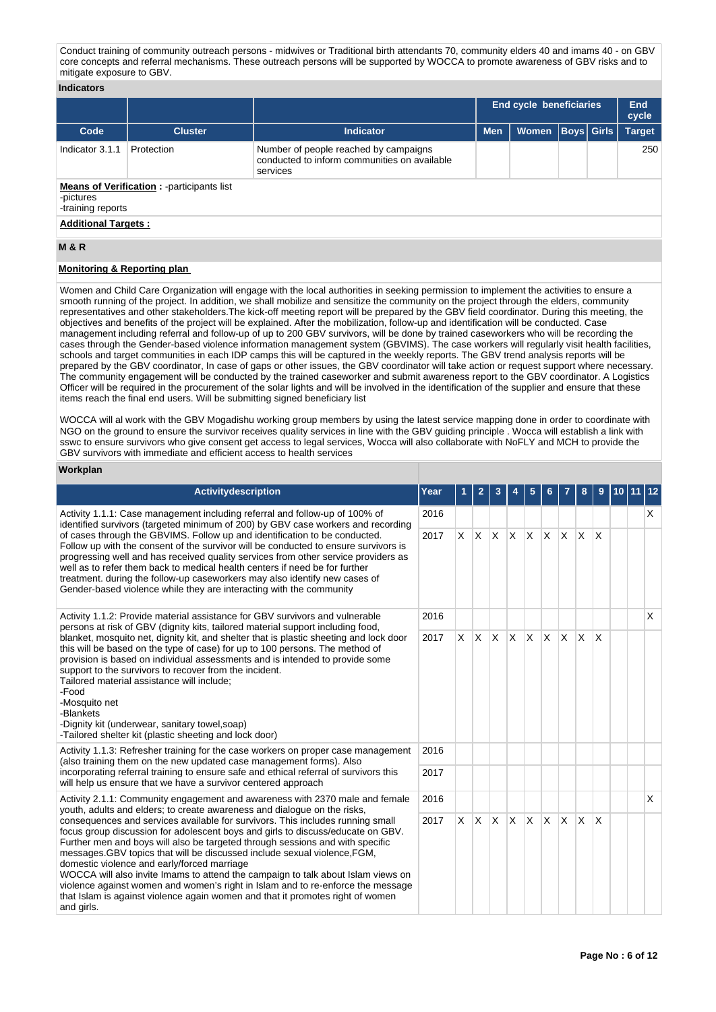Conduct training of community outreach persons - midwives or Traditional birth attendants 70, community elders 40 and imams 40 - on GBV core concepts and referral mechanisms. These outreach persons will be supported by WOCCA to promote awareness of GBV risks and to mitigate exposure to GBV.

### **Indicators**

|                                |                                                   |                                                                                                   | End cycle beneficiaries |                      |  |  | End<br>cycle  |
|--------------------------------|---------------------------------------------------|---------------------------------------------------------------------------------------------------|-------------------------|----------------------|--|--|---------------|
| Code                           | <b>Cluster</b>                                    | <b>Indicator</b>                                                                                  | <b>Men</b>              | Women   Boys   Girls |  |  | <b>Target</b> |
| Indicator 3.1.1                | Protection                                        | Number of people reached by campaigns<br>conducted to inform communities on available<br>services |                         |                      |  |  | 250           |
| -pictures<br>-training reports | <b>Means of Verification:</b> - participants list |                                                                                                   |                         |                      |  |  |               |
| <b>Additional Targets:</b>     |                                                   |                                                                                                   |                         |                      |  |  |               |

#### **M & R**

## **Monitoring & Reporting plan**

Women and Child Care Organization will engage with the local authorities in seeking permission to implement the activities to ensure a smooth running of the project. In addition, we shall mobilize and sensitize the community on the project through the elders, community representatives and other stakeholders.The kick-off meeting report will be prepared by the GBV field coordinator. During this meeting, the objectives and benefits of the project will be explained. After the mobilization, follow-up and identification will be conducted. Case management including referral and follow-up of up to 200 GBV survivors, will be done by trained caseworkers who will be recording the cases through the Gender-based violence information management system (GBVIMS). The case workers will regularly visit health facilities, schools and target communities in each IDP camps this will be captured in the weekly reports. The GBV trend analysis reports will be prepared by the GBV coordinator, In case of gaps or other issues, the GBV coordinator will take action or request support where necessary. The community engagement will be conducted by the trained caseworker and submit awareness report to the GBV coordinator. A Logistics Officer will be required in the procurement of the solar lights and will be involved in the identification of the supplier and ensure that these items reach the final end users. Will be submitting signed beneficiary list

WOCCA will al work with the GBV Mogadishu working group members by using the latest service mapping done in order to coordinate with NGO on the ground to ensure the survivor receives quality services in line with the GBV guiding principle . Wocca will establish a link with sswc to ensure survivors who give consent get access to legal services, Wocca will also collaborate with NoFLY and MCH to provide the GBV survivors with immediate and efficient access to health services

#### **Workplan**

| <b>Activitydescription</b>                                                                                                                                                                                                                                                                                                                                                                                                                                                                                                                                                                                                                                                                                                        | Year |          | 2        | 3            |          | 5        | 6            |              | 8            | 9                       | 10 11 12 |   |
|-----------------------------------------------------------------------------------------------------------------------------------------------------------------------------------------------------------------------------------------------------------------------------------------------------------------------------------------------------------------------------------------------------------------------------------------------------------------------------------------------------------------------------------------------------------------------------------------------------------------------------------------------------------------------------------------------------------------------------------|------|----------|----------|--------------|----------|----------|--------------|--------------|--------------|-------------------------|----------|---|
| 2016<br>Activity 1.1.1: Case management including referral and follow-up of 100% of<br>identified survivors (targeted minimum of 200) by GBV case workers and recording<br>of cases through the GBVIMS. Follow up and identification to be conducted.<br>2017<br>Follow up with the consent of the survivor will be conducted to ensure survivors is<br>progressing well and has received quality services from other service providers as<br>well as to refer them back to medical health centers if need be for further<br>treatment. during the follow-up caseworkers may also identify new cases of<br>Gender-based violence while they are interacting with the community                                                    |      |          |          |              |          |          |              |              |              |                         |          | X |
|                                                                                                                                                                                                                                                                                                                                                                                                                                                                                                                                                                                                                                                                                                                                   |      | $\times$ |          | $ x \times$  | <b>X</b> | <b>X</b> |              | $x \times$   | <b>X</b>     | ΙX.                     |          |   |
| Activity 1.1.2: Provide material assistance for GBV survivors and vulnerable                                                                                                                                                                                                                                                                                                                                                                                                                                                                                                                                                                                                                                                      | 2016 |          |          |              |          |          |              |              |              |                         |          | X |
| persons at risk of GBV (dignity kits, tailored material support including food,<br>blanket, mosquito net, dignity kit, and shelter that is plastic sheeting and lock door<br>this will be based on the type of case) for up to 100 persons. The method of<br>provision is based on individual assessments and is intended to provide some<br>support to the survivors to recover from the incident.<br>Tailored material assistance will include;<br>-Food<br>-Mosquito net<br>-Blankets<br>-Dignity kit (underwear, sanitary towel, soap)<br>-Tailored shelter kit (plastic sheeting and lock door)                                                                                                                              |      | $\times$ |          | $ X $ $ X $  |          | ΙX.      | IX.          | $\mathsf{X}$ | <b>X</b>     | $\overline{\mathsf{x}}$ |          |   |
| Activity 1.1.3: Refresher training for the case workers on proper case management<br>(also training them on the new updated case management forms). Also                                                                                                                                                                                                                                                                                                                                                                                                                                                                                                                                                                          | 2016 |          |          |              |          |          |              |              |              |                         |          |   |
| incorporating referral training to ensure safe and ethical referral of survivors this<br>will help us ensure that we have a survivor centered approach                                                                                                                                                                                                                                                                                                                                                                                                                                                                                                                                                                            | 2017 |          |          |              |          |          |              |              |              |                         |          |   |
| Activity 2.1.1: Community engagement and awareness with 2370 male and female                                                                                                                                                                                                                                                                                                                                                                                                                                                                                                                                                                                                                                                      | 2016 |          |          |              |          |          |              |              |              |                         |          | X |
| youth, adults and elders; to create awareness and dialogue on the risks,<br>consequences and services available for survivors. This includes running small<br>focus group discussion for adolescent boys and girls to discuss/educate on GBV.<br>Further men and boys will also be targeted through sessions and with specific<br>messages. GBV topics that will be discussed include sexual violence, FGM,<br>domestic violence and early/forced marriage<br>WOCCA will also invite Imams to attend the campaign to talk about Islam views on<br>violence against women and women's right in Islam and to re-enforce the message<br>that Islam is against violence again women and that it promotes right of women<br>and girls. |      | X        | <b>X</b> | $\mathsf{X}$ | <b>X</b> | <b>X</b> | $\mathsf{X}$ | IX.          | $\mathsf{x}$ | $\overline{\mathsf{x}}$ |          |   |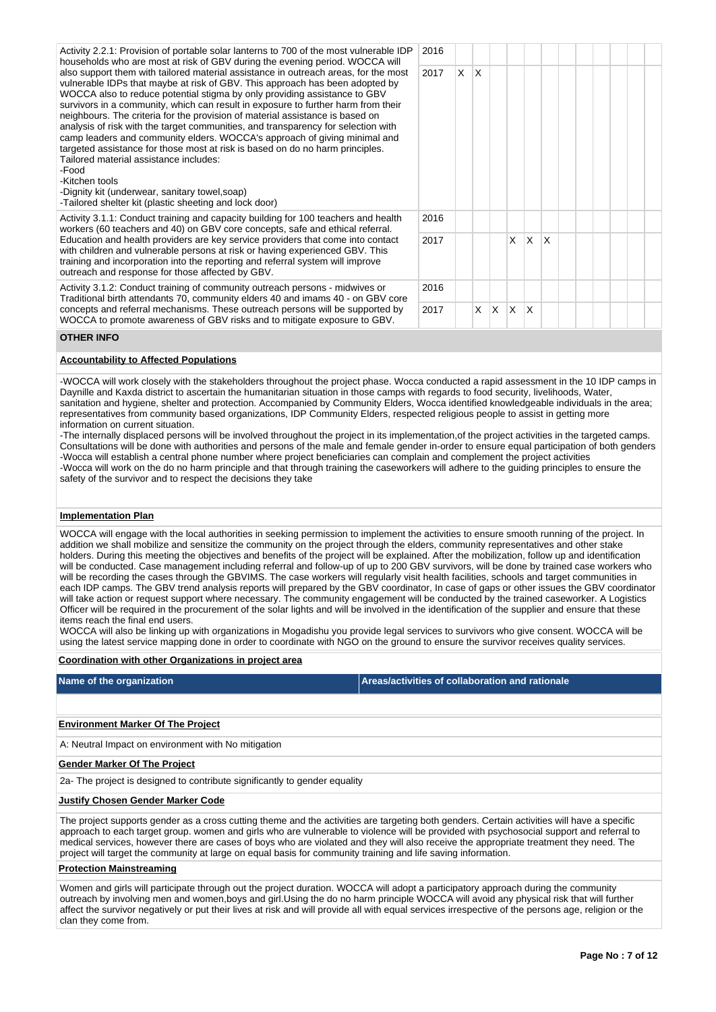| Activity 2.2.1: Provision of portable solar lanterns to 700 of the most vulnerable IDP<br>households who are most at risk of GBV during the evening period. WOCCA will                                                                                                                                                                                                                                                                                                                                                                                                                                                                                                                                                                                                                                                                                             | 2016 |  |   |          |          |              |              |  |  |  |
|--------------------------------------------------------------------------------------------------------------------------------------------------------------------------------------------------------------------------------------------------------------------------------------------------------------------------------------------------------------------------------------------------------------------------------------------------------------------------------------------------------------------------------------------------------------------------------------------------------------------------------------------------------------------------------------------------------------------------------------------------------------------------------------------------------------------------------------------------------------------|------|--|---|----------|----------|--------------|--------------|--|--|--|
| also support them with tailored material assistance in outreach areas, for the most<br>2017<br>vulnerable IDPs that maybe at risk of GBV. This approach has been adopted by<br>WOCCA also to reduce potential stigma by only providing assistance to GBV<br>survivors in a community, which can result in exposure to further harm from their<br>neighbours. The criteria for the provision of material assistance is based on<br>analysis of risk with the target communities, and transparency for selection with<br>camp leaders and community elders. WOCCA's approach of giving minimal and<br>targeted assistance for those most at risk is based on do no harm principles.<br>Tailored material assistance includes:<br>-Food<br>-Kitchen tools<br>-Dignity kit (underwear, sanitary towel, soap)<br>-Tailored shelter kit (plastic sheeting and lock door) |      |  |   |          |          |              |              |  |  |  |
| Activity 3.1.1: Conduct training and capacity building for 100 teachers and health<br>workers (60 teachers and 40) on GBV core concepts, safe and ethical referral.                                                                                                                                                                                                                                                                                                                                                                                                                                                                                                                                                                                                                                                                                                | 2016 |  |   |          |          |              |              |  |  |  |
| Education and health providers are key service providers that come into contact<br>2017<br>with children and vulnerable persons at risk or having experienced GBV. This<br>training and incorporation into the reporting and referral system will improve<br>outreach and response for those affected by GBV.<br>Activity 3.1.2: Conduct training of community outreach persons - midwives or<br>2016<br>Traditional birth attendants 70, community elders 40 and imams 40 - on GBV core                                                                                                                                                                                                                                                                                                                                                                           |      |  |   |          | X        | $\mathsf{X}$ | $\mathsf{X}$ |  |  |  |
|                                                                                                                                                                                                                                                                                                                                                                                                                                                                                                                                                                                                                                                                                                                                                                                                                                                                    |      |  |   |          |          |              |              |  |  |  |
| concepts and referral mechanisms. These outreach persons will be supported by                                                                                                                                                                                                                                                                                                                                                                                                                                                                                                                                                                                                                                                                                                                                                                                      | 2017 |  | X | $\times$ | $\times$ | ΙX.          |              |  |  |  |

### **OTHER INFO**

### **Accountability to Affected Populations**

WOCCA to promote awareness of GBV risks and to mitigate exposure to GBV.

-WOCCA will work closely with the stakeholders throughout the project phase. Wocca conducted a rapid assessment in the 10 IDP camps in Daynille and Kaxda district to ascertain the humanitarian situation in those camps with regards to food security, livelihoods, Water, sanitation and hygiene, shelter and protection. Accompanied by Community Elders, Wocca identified knowledgeable individuals in the area; representatives from community based organizations, IDP Community Elders, respected religious people to assist in getting more information on current situation.

-The internally displaced persons will be involved throughout the project in its implementation,of the project activities in the targeted camps. Consultations will be done with authorities and persons of the male and female gender in-order to ensure equal participation of both genders -Wocca will establish a central phone number where project beneficiaries can complain and complement the project activities -Wocca will work on the do no harm principle and that through training the caseworkers will adhere to the guiding principles to ensure the safety of the survivor and to respect the decisions they take

### **Implementation Plan**

WOCCA will engage with the local authorities in seeking permission to implement the activities to ensure smooth running of the project. In addition we shall mobilize and sensitize the community on the project through the elders, community representatives and other stake holders. During this meeting the objectives and benefits of the project will be explained. After the mobilization, follow up and identification will be conducted. Case management including referral and follow-up of up to 200 GBV survivors, will be done by trained case workers who will be recording the cases through the GBVIMS. The case workers will regularly visit health facilities, schools and target communities in each IDP camps. The GBV trend analysis reports will prepared by the GBV coordinator, In case of gaps or other issues the GBV coordinator will take action or request support where necessary. The community engagement will be conducted by the trained caseworker. A Logistics Officer will be required in the procurement of the solar lights and will be involved in the identification of the supplier and ensure that these items reach the final end users.

WOCCA will also be linking up with organizations in Mogadishu you provide legal services to survivors who give consent. WOCCA will be using the latest service mapping done in order to coordinate with NGO on the ground to ensure the survivor receives quality services.

#### **Coordination with other Organizations in project area**

**Name of the organization Areas/activities of collaboration and rationale** 

#### **Environment Marker Of The Project**

A: Neutral Impact on environment with No mitigation

#### **Gender Marker Of The Project**

2a- The project is designed to contribute significantly to gender equality

### **Justify Chosen Gender Marker Code**

The project supports gender as a cross cutting theme and the activities are targeting both genders. Certain activities will have a specific approach to each target group. women and girls who are vulnerable to violence will be provided with psychosocial support and referral to medical services, however there are cases of boys who are violated and they will also receive the appropriate treatment they need. The project will target the community at large on equal basis for community training and life saving information.

## **Protection Mainstreaming**

Women and girls will participate through out the project duration. WOCCA will adopt a participatory approach during the community outreach by involving men and women,boys and girl.Using the do no harm principle WOCCA will avoid any physical risk that will further affect the survivor negatively or put their lives at risk and will provide all with equal services irrespective of the persons age, religion or the clan they come from.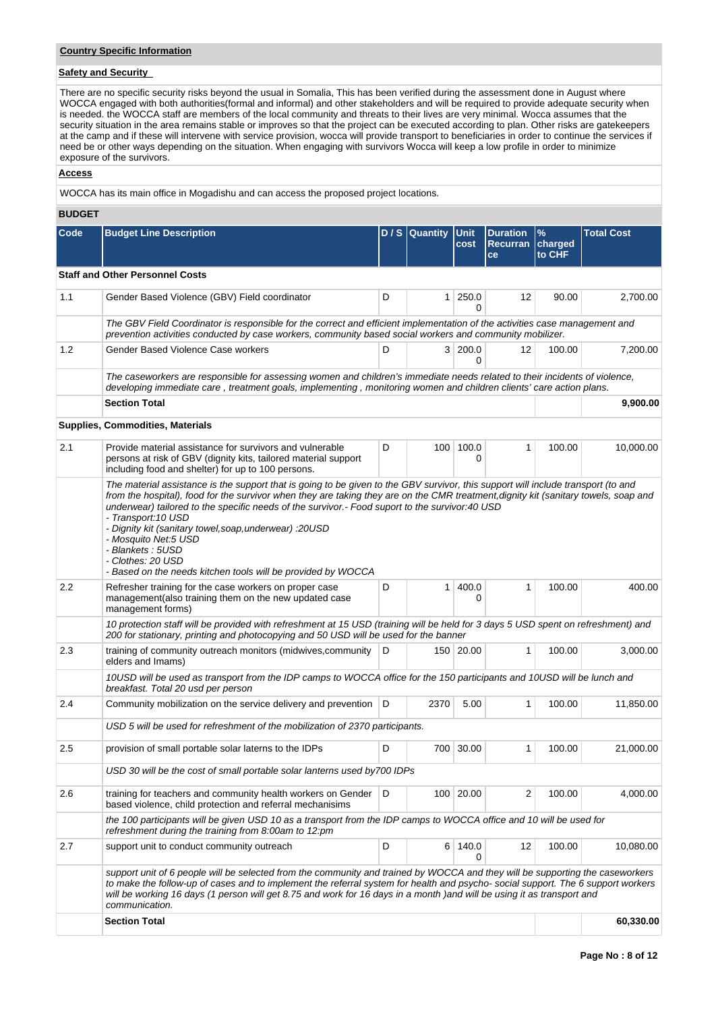## **Country Specific Information**

# **Safety and Security**

There are no specific security risks beyond the usual in Somalia, This has been verified during the assessment done in August where WOCCA engaged with both authorities(formal and informal) and other stakeholders and will be required to provide adequate security when is needed. the WOCCA staff are members of the local community and threats to their lives are very minimal. Wocca assumes that the security situation in the area remains stable or improves so that the project can be executed according to plan. Other risks are gatekeepers at the camp and if these will intervene with service provision, wocca will provide transport to beneficiaries in order to continue the services if need be or other ways depending on the situation. When engaging with survivors Wocca will keep a low profile in order to minimize exposure of the survivors.

### **Access**

WOCCA has its main office in Mogadishu and can access the proposed project locations.

## **BUDGET**

| <b>Code</b> | <b>Budget Line Description</b>                                                                                                                                                                                                                                                                                                                                                                                                                                                                                                                                                                  |                         | $D / S$ Quantity | Unit<br>cost   | <b>Duration</b><br>Recurran<br>ce | $\%$<br>charged<br>to CHF | <b>Total Cost</b> |  |
|-------------|-------------------------------------------------------------------------------------------------------------------------------------------------------------------------------------------------------------------------------------------------------------------------------------------------------------------------------------------------------------------------------------------------------------------------------------------------------------------------------------------------------------------------------------------------------------------------------------------------|-------------------------|------------------|----------------|-----------------------------------|---------------------------|-------------------|--|
|             | <b>Staff and Other Personnel Costs</b>                                                                                                                                                                                                                                                                                                                                                                                                                                                                                                                                                          |                         |                  |                |                                   |                           |                   |  |
| 1.1         | Gender Based Violence (GBV) Field coordinator                                                                                                                                                                                                                                                                                                                                                                                                                                                                                                                                                   | D                       |                  | 1 250.0<br>0   | 12                                | 90.00                     | 2,700.00          |  |
|             | The GBV Field Coordinator is responsible for the correct and efficient implementation of the activities case management and<br>prevention activities conducted by case workers, community based social workers and community mobilizer.                                                                                                                                                                                                                                                                                                                                                         |                         |                  |                |                                   |                           |                   |  |
| 1.2         | Gender Based Violence Case workers                                                                                                                                                                                                                                                                                                                                                                                                                                                                                                                                                              | 3 200.0<br>D<br>12<br>0 |                  |                |                                   |                           |                   |  |
|             | The caseworkers are responsible for assessing women and children's immediate needs related to their incidents of violence,<br>developing immediate care, treatment goals, implementing, monitoring women and children clients' care action plans.                                                                                                                                                                                                                                                                                                                                               |                         |                  |                |                                   |                           |                   |  |
|             | <b>Section Total</b>                                                                                                                                                                                                                                                                                                                                                                                                                                                                                                                                                                            |                         |                  |                |                                   |                           | 9,900.00          |  |
|             | <b>Supplies, Commodities, Materials</b>                                                                                                                                                                                                                                                                                                                                                                                                                                                                                                                                                         |                         |                  |                |                                   |                           |                   |  |
| 2.1         | Provide material assistance for survivors and vulnerable<br>persons at risk of GBV (dignity kits, tailored material support<br>including food and shelter) for up to 100 persons.                                                                                                                                                                                                                                                                                                                                                                                                               | D                       |                  | 100 100.0<br>0 | 1                                 | 100.00                    | 10,000.00         |  |
|             | The material assistance is the support that is going to be given to the GBV survivor, this support will include transport (to and<br>from the hospital), food for the survivor when they are taking they are on the CMR treatment, dignity kit (sanitary towels, soap and<br>underwear) tailored to the specific needs of the survivor.- Food suport to the survivor:40 USD<br>- Transport: 10 USD<br>- Dignity kit (sanitary towel, soap, underwear) : 20USD<br>- Mosquito Net:5 USD<br>- Blankets : 5USD<br>- Clothes: 20 USD<br>- Based on the needs kitchen tools will be provided by WOCCA |                         |                  |                |                                   |                           |                   |  |
| 2.2         | Refresher training for the case workers on proper case<br>management(also training them on the new updated case<br>management forms)                                                                                                                                                                                                                                                                                                                                                                                                                                                            | D                       | 1                | 400.0<br>0     | 1                                 | 100.00                    | 400.00            |  |
|             | 10 protection staff will be provided with refreshment at 15 USD (training will be held for 3 days 5 USD spent on refreshment) and<br>200 for stationary, printing and photocopying and 50 USD will be used for the banner                                                                                                                                                                                                                                                                                                                                                                       |                         |                  |                |                                   |                           |                   |  |
| 2.3         | training of community outreach monitors (midwives, community<br>elders and Imams)                                                                                                                                                                                                                                                                                                                                                                                                                                                                                                               | D                       |                  | 150 20.00      | 1                                 | 100.00                    | 3,000.00          |  |
|             | 10USD will be used as transport from the IDP camps to WOCCA office for the 150 participants and 10USD will be lunch and<br>breakfast. Total 20 usd per person                                                                                                                                                                                                                                                                                                                                                                                                                                   |                         |                  |                |                                   |                           |                   |  |
| 2.4         | Community mobilization on the service delivery and prevention   D                                                                                                                                                                                                                                                                                                                                                                                                                                                                                                                               |                         | 2370             | 5.00           | 1                                 | 100.00                    | 11,850.00         |  |
|             | USD 5 will be used for refreshment of the mobilization of 2370 participants.                                                                                                                                                                                                                                                                                                                                                                                                                                                                                                                    |                         |                  |                |                                   |                           |                   |  |
| 2.5         | provision of small portable solar laterns to the IDPs                                                                                                                                                                                                                                                                                                                                                                                                                                                                                                                                           | D                       |                  | 700 30.00      | 1                                 | 100.00                    | 21,000.00         |  |
|             | USD 30 will be the cost of small portable solar lanterns used by700 IDPs                                                                                                                                                                                                                                                                                                                                                                                                                                                                                                                        |                         |                  |                |                                   |                           |                   |  |
| 2.6         | training for teachers and community health workers on Gender<br>based violence, child protection and referral mechanisims                                                                                                                                                                                                                                                                                                                                                                                                                                                                       | D                       |                  | 100 20.00      | 2                                 | 100.00                    | 4,000.00          |  |
|             | the 100 participants will be given USD 10 as a transport from the IDP camps to WOCCA office and 10 will be used for<br>refreshment during the training from 8:00am to 12:pm                                                                                                                                                                                                                                                                                                                                                                                                                     |                         |                  |                |                                   |                           |                   |  |
| 2.7         | support unit to conduct community outreach                                                                                                                                                                                                                                                                                                                                                                                                                                                                                                                                                      | D                       |                  | 6 140.0<br>0   | 12                                | 100.00                    | 10,080.00         |  |
|             | support unit of 6 people will be selected from the community and trained by WOCCA and they will be supporting the caseworkers<br>to make the follow-up of cases and to implement the referral system for health and psycho-social support. The 6 support workers<br>will be working 16 days (1 person will get 8.75 and work for 16 days in a month )and will be using it as transport and<br>communication.                                                                                                                                                                                    |                         |                  |                |                                   |                           |                   |  |
|             | <b>Section Total</b>                                                                                                                                                                                                                                                                                                                                                                                                                                                                                                                                                                            |                         |                  |                |                                   |                           | 60,330.00         |  |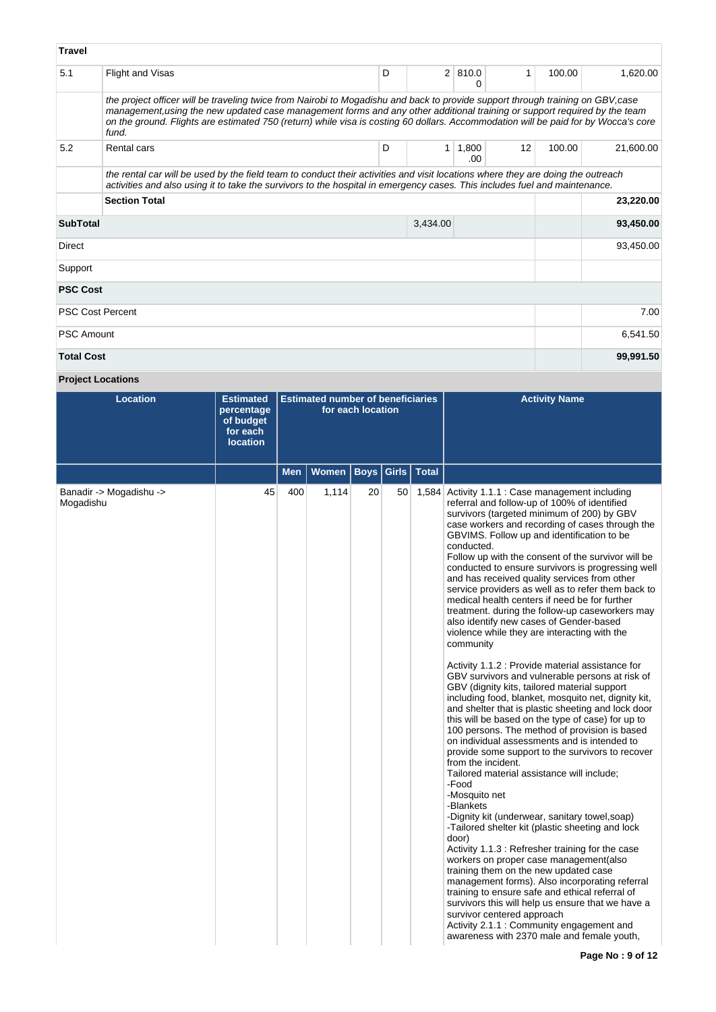| <b>Travel</b>     |                                                                                                                                                                                                                                                                                                                                                                                                             |   |                |               |    |        |           |  |  |  |  |  |
|-------------------|-------------------------------------------------------------------------------------------------------------------------------------------------------------------------------------------------------------------------------------------------------------------------------------------------------------------------------------------------------------------------------------------------------------|---|----------------|---------------|----|--------|-----------|--|--|--|--|--|
| 5.1               | Flight and Visas                                                                                                                                                                                                                                                                                                                                                                                            | D | $\overline{2}$ | 810.0<br>0    | 1  | 100.00 | 1,620.00  |  |  |  |  |  |
|                   | the project officer will be traveling twice from Nairobi to Mogadishu and back to provide support through training on GBV, case<br>management, using the new updated case management forms and any other additional training or support required by the team<br>on the ground. Flights are estimated 750 (return) while visa is costing 60 dollars. Accommodation will be paid for by Wocca's core<br>fund. |   |                |               |    |        |           |  |  |  |  |  |
| 5.2               | Rental cars                                                                                                                                                                                                                                                                                                                                                                                                 | D | 1              | 1,800<br>.00. | 12 | 100.00 | 21,600.00 |  |  |  |  |  |
|                   | the rental car will be used by the field team to conduct their activities and visit locations where they are doing the outreach<br>activities and also using it to take the survivors to the hospital in emergency cases. This includes fuel and maintenance.                                                                                                                                               |   |                |               |    |        |           |  |  |  |  |  |
|                   | <b>Section Total</b><br>23,220.00                                                                                                                                                                                                                                                                                                                                                                           |   |                |               |    |        |           |  |  |  |  |  |
| <b>SubTotal</b>   |                                                                                                                                                                                                                                                                                                                                                                                                             |   | 3,434.00       |               |    |        | 93,450.00 |  |  |  |  |  |
| <b>Direct</b>     |                                                                                                                                                                                                                                                                                                                                                                                                             |   |                |               |    |        | 93,450.00 |  |  |  |  |  |
| Support           |                                                                                                                                                                                                                                                                                                                                                                                                             |   |                |               |    |        |           |  |  |  |  |  |
| <b>PSC Cost</b>   |                                                                                                                                                                                                                                                                                                                                                                                                             |   |                |               |    |        |           |  |  |  |  |  |
|                   | <b>PSC Cost Percent</b>                                                                                                                                                                                                                                                                                                                                                                                     |   |                |               |    |        | 7.00      |  |  |  |  |  |
| <b>PSC Amount</b> |                                                                                                                                                                                                                                                                                                                                                                                                             |   |                |               |    |        | 6,541.50  |  |  |  |  |  |
| <b>Total Cost</b> |                                                                                                                                                                                                                                                                                                                                                                                                             |   |                |               |    |        | 99,991.50 |  |  |  |  |  |

**Project Locations**

| <b>Location</b>                      | <b>Estimated</b><br>percentage<br>of budget<br>for each<br><b>location</b> | <b>Estimated number of beneficiaries</b><br>for each location |       |                       |  |              | <b>Activity Name</b>                                                                                                                                                                                                                                                                                                                                                                                                                                                                                                                                                                                                                                                                                                                                                                                                                                                                                                                                                                                                                                                                                                                                                                                                                                                                                                                                                                                                                                                                                                                                                                                                                                                                                                                                                                                                            |
|--------------------------------------|----------------------------------------------------------------------------|---------------------------------------------------------------|-------|-----------------------|--|--------------|---------------------------------------------------------------------------------------------------------------------------------------------------------------------------------------------------------------------------------------------------------------------------------------------------------------------------------------------------------------------------------------------------------------------------------------------------------------------------------------------------------------------------------------------------------------------------------------------------------------------------------------------------------------------------------------------------------------------------------------------------------------------------------------------------------------------------------------------------------------------------------------------------------------------------------------------------------------------------------------------------------------------------------------------------------------------------------------------------------------------------------------------------------------------------------------------------------------------------------------------------------------------------------------------------------------------------------------------------------------------------------------------------------------------------------------------------------------------------------------------------------------------------------------------------------------------------------------------------------------------------------------------------------------------------------------------------------------------------------------------------------------------------------------------------------------------------------|
|                                      |                                                                            | <b>Men</b>                                                    | Women | <b>Boys   Girls  </b> |  | <b>Total</b> |                                                                                                                                                                                                                                                                                                                                                                                                                                                                                                                                                                                                                                                                                                                                                                                                                                                                                                                                                                                                                                                                                                                                                                                                                                                                                                                                                                                                                                                                                                                                                                                                                                                                                                                                                                                                                                 |
| Banadir -> Mogadishu -><br>Mogadishu | 45                                                                         | 400                                                           | 1,114 | 20                    |  |              | 50 1,584 Activity 1.1.1 : Case management including<br>referral and follow-up of 100% of identified<br>survivors (targeted minimum of 200) by GBV<br>case workers and recording of cases through the<br>GBVIMS. Follow up and identification to be<br>conducted.<br>Follow up with the consent of the survivor will be<br>conducted to ensure survivors is progressing well<br>and has received quality services from other<br>service providers as well as to refer them back to<br>medical health centers if need be for further<br>treatment. during the follow-up caseworkers may<br>also identify new cases of Gender-based<br>violence while they are interacting with the<br>community<br>Activity 1.1.2 : Provide material assistance for<br>GBV survivors and vulnerable persons at risk of<br>GBV (dignity kits, tailored material support<br>including food, blanket, mosquito net, dignity kit,<br>and shelter that is plastic sheeting and lock door<br>this will be based on the type of case) for up to<br>100 persons. The method of provision is based<br>on individual assessments and is intended to<br>provide some support to the survivors to recover<br>from the incident.<br>Tailored material assistance will include;<br>-Food<br>-Mosquito net<br>-Blankets<br>-Dignity kit (underwear, sanitary towel,soap)<br>-Tailored shelter kit (plastic sheeting and lock<br>door)<br>Activity 1.1.3 : Refresher training for the case<br>workers on proper case management (also<br>training them on the new updated case<br>management forms). Also incorporating referral<br>training to ensure safe and ethical referral of<br>survivors this will help us ensure that we have a<br>survivor centered approach<br>Activity 2.1.1 : Community engagement and<br>awareness with 2370 male and female youth, |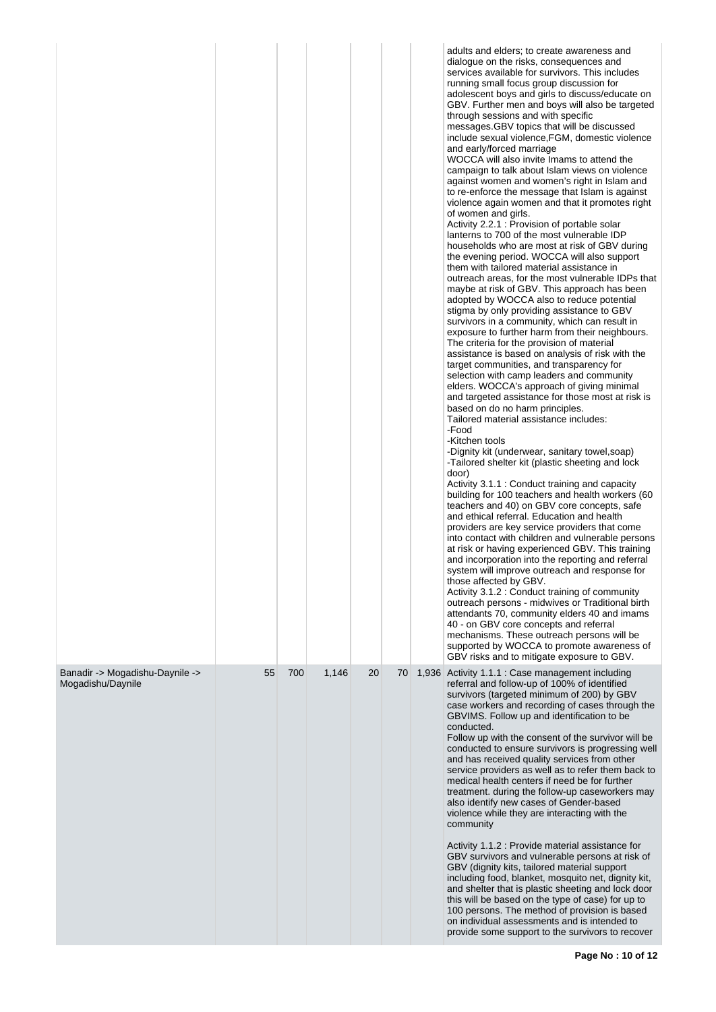|                                                      |    |     |       |    |    | adults and elders; to create awareness and<br>dialogue on the risks, consequences and<br>services available for survivors. This includes<br>running small focus group discussion for<br>adolescent boys and girls to discuss/educate on<br>GBV. Further men and boys will also be targeted<br>through sessions and with specific<br>messages.GBV topics that will be discussed<br>include sexual violence, FGM, domestic violence<br>and early/forced marriage<br>WOCCA will also invite Imams to attend the<br>campaign to talk about Islam views on violence<br>against women and women's right in Islam and<br>to re-enforce the message that Islam is against<br>violence again women and that it promotes right<br>of women and girls.<br>Activity 2.2.1 : Provision of portable solar<br>lanterns to 700 of the most vulnerable IDP<br>households who are most at risk of GBV during<br>the evening period. WOCCA will also support<br>them with tailored material assistance in<br>outreach areas, for the most vulnerable IDPs that<br>maybe at risk of GBV. This approach has been<br>adopted by WOCCA also to reduce potential<br>stigma by only providing assistance to GBV<br>survivors in a community, which can result in<br>exposure to further harm from their neighbours.<br>The criteria for the provision of material<br>assistance is based on analysis of risk with the<br>target communities, and transparency for<br>selection with camp leaders and community<br>elders. WOCCA's approach of giving minimal<br>and targeted assistance for those most at risk is<br>based on do no harm principles.<br>Tailored material assistance includes:<br>-Food<br>-Kitchen tools<br>-Dignity kit (underwear, sanitary towel, soap)<br>-Tailored shelter kit (plastic sheeting and lock<br>door)<br>Activity 3.1.1 : Conduct training and capacity<br>building for 100 teachers and health workers (60<br>teachers and 40) on GBV core concepts, safe<br>and ethical referral. Education and health<br>providers are key service providers that come<br>into contact with children and vulnerable persons<br>at risk or having experienced GBV. This training<br>and incorporation into the reporting and referral<br>system will improve outreach and response for<br>those affected by GBV.<br>Activity 3.1.2 : Conduct training of community<br>outreach persons - midwives or Traditional birth<br>attendants 70, community elders 40 and imams<br>40 - on GBV core concepts and referral<br>mechanisms. These outreach persons will be<br>supported by WOCCA to promote awareness of<br>GBV risks and to mitigate exposure to GBV. |
|------------------------------------------------------|----|-----|-------|----|----|--------------------------------------------------------------------------------------------------------------------------------------------------------------------------------------------------------------------------------------------------------------------------------------------------------------------------------------------------------------------------------------------------------------------------------------------------------------------------------------------------------------------------------------------------------------------------------------------------------------------------------------------------------------------------------------------------------------------------------------------------------------------------------------------------------------------------------------------------------------------------------------------------------------------------------------------------------------------------------------------------------------------------------------------------------------------------------------------------------------------------------------------------------------------------------------------------------------------------------------------------------------------------------------------------------------------------------------------------------------------------------------------------------------------------------------------------------------------------------------------------------------------------------------------------------------------------------------------------------------------------------------------------------------------------------------------------------------------------------------------------------------------------------------------------------------------------------------------------------------------------------------------------------------------------------------------------------------------------------------------------------------------------------------------------------------------------------------------------------------------------------------------------------------------------------------------------------------------------------------------------------------------------------------------------------------------------------------------------------------------------------------------------------------------------------------------------------------------------------------------------------------------------------------------------------------------------------------------------------------------------------------------------------|
| Banadir -> Mogadishu-Daynile -><br>Mogadishu/Daynile | 55 | 700 | 1,146 | 20 | 70 | 1,936 Activity 1.1.1 : Case management including<br>referral and follow-up of 100% of identified<br>survivors (targeted minimum of 200) by GBV<br>case workers and recording of cases through the<br>GBVIMS. Follow up and identification to be<br>conducted.<br>Follow up with the consent of the survivor will be<br>conducted to ensure survivors is progressing well<br>and has received quality services from other<br>service providers as well as to refer them back to<br>medical health centers if need be for further<br>treatment. during the follow-up caseworkers may<br>also identify new cases of Gender-based<br>violence while they are interacting with the<br>community<br>Activity 1.1.2 : Provide material assistance for<br>GBV survivors and vulnerable persons at risk of<br>GBV (dignity kits, tailored material support<br>including food, blanket, mosquito net, dignity kit,<br>and shelter that is plastic sheeting and lock door<br>this will be based on the type of case) for up to<br>100 persons. The method of provision is based<br>on individual assessments and is intended to<br>provide some support to the survivors to recover                                                                                                                                                                                                                                                                                                                                                                                                                                                                                                                                                                                                                                                                                                                                                                                                                                                                                                                                                                                                                                                                                                                                                                                                                                                                                                                                                                                                                                                                               |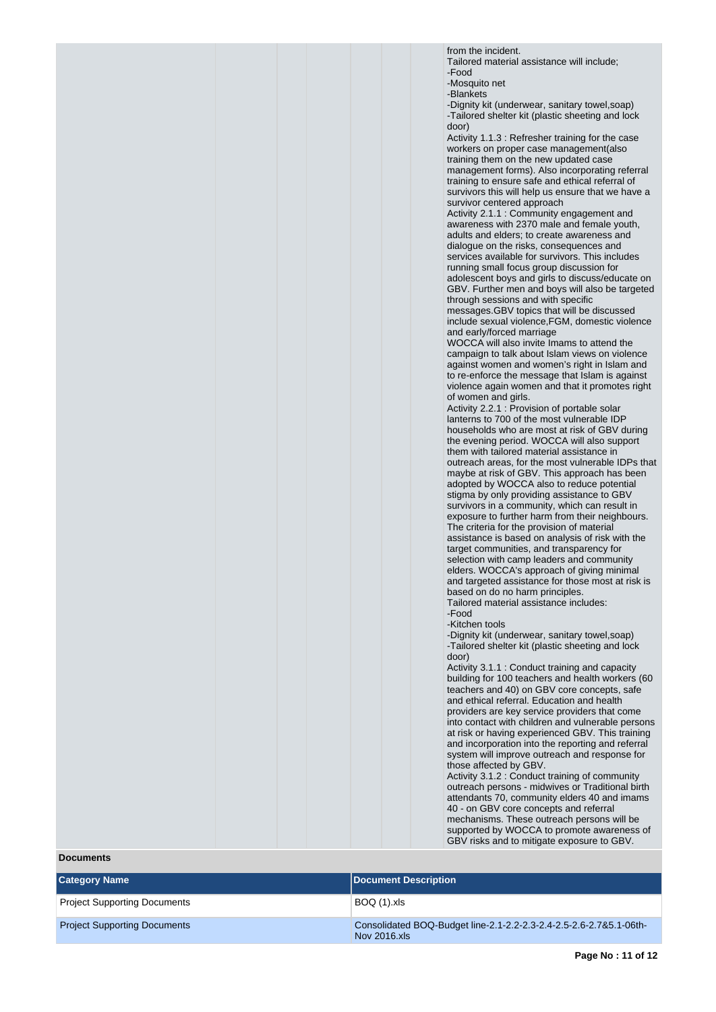from the incident.

Tailored material assistance will include; -Food

-Mosquito net

-Blankets

-Dignity kit (underwear, sanitary towel,soap) -Tailored shelter kit (plastic sheeting and lock door)

Activity 1.1.3 : Refresher training for the case workers on proper case management(also training them on the new updated case management forms). Also incorporating referral training to ensure safe and ethical referral of survivors this will help us ensure that we have a survivor centered approach

Activity 2.1.1 : Community engagement and awareness with 2370 male and female youth, adults and elders; to create awareness and dialogue on the risks, consequences and services available for survivors. This includes running small focus group discussion for adolescent boys and girls to discuss/educate on GBV. Further men and boys will also be targeted through sessions and with specific messages.GBV topics that will be discussed

include sexual violence,FGM, domestic violence and early/forced marriage

WOCCA will also invite Imams to attend the campaign to talk about Islam views on violence against women and women's right in Islam and to re-enforce the message that Islam is against violence again women and that it promotes right of women and girls.

Activity 2.2.1 : Provision of portable solar lanterns to 700 of the most vulnerable IDP households who are most at risk of GBV during the evening period. WOCCA will also support them with tailored material assistance in outreach areas, for the most vulnerable IDPs that maybe at risk of GBV. This approach has been adopted by WOCCA also to reduce potential stigma by only providing assistance to GBV survivors in a community, which can result in exposure to further harm from their neighbours. The criteria for the provision of material assistance is based on analysis of risk with the target communities, and transparency for selection with camp leaders and community elders. WOCCA's approach of giving minimal and targeted assistance for those most at risk is based on do no harm principles.

Tailored material assistance includes:

-Food

-Kitchen tools

-Dignity kit (underwear, sanitary towel,soap) -Tailored shelter kit (plastic sheeting and lock door)

Activity 3.1.1 : Conduct training and capacity building for 100 teachers and health workers (60 teachers and 40) on GBV core concepts, safe and ethical referral. Education and health providers are key service providers that come into contact with children and vulnerable persons at risk or having experienced GBV. This training and incorporation into the reporting and referral system will improve outreach and response for those affected by GBV.

Activity 3.1.2 : Conduct training of community outreach persons - midwives or Traditional birth attendants 70, community elders 40 and imams 40 - on GBV core concepts and referral mechanisms. These outreach persons will be supported by WOCCA to promote awareness of GBV risks and to mitigate exposure to GBV.

**Documents**

| <b>Category Name</b>                | Document Description                                                               |
|-------------------------------------|------------------------------------------------------------------------------------|
| Project Supporting Documents        | BOQ (1).xls                                                                        |
| <b>Project Supporting Documents</b> | Consolidated BOQ-Budget line-2.1-2.2-2.3-2.4-2.5-2.6-2.7&5.1-06th-<br>Nov 2016.xls |